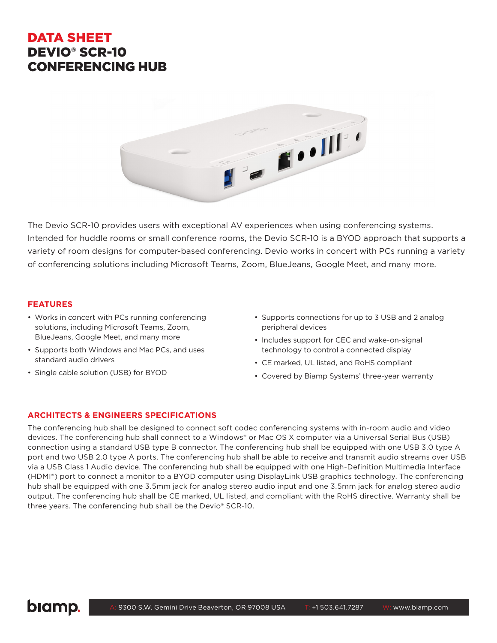## DATA SHEET DEVIO® SCR-10 CONFERENCING HUB



The Devio SCR-10 provides users with exceptional AV experiences when using conferencing systems. Intended for huddle rooms or small conference rooms, the Devio SCR-10 is a BYOD approach that supports a variety of room designs for computer-based conferencing. Devio works in concert with PCs running a variety of conferencing solutions including Microsoft Teams, Zoom, BlueJeans, Google Meet, and many more.

## **FEATURES**

- Works in concert with PCs running conferencing solutions, including Microsoft Teams, Zoom, BlueJeans, Google Meet, and many more
- Supports both Windows and Mac PCs, and uses standard audio drivers
- Single cable solution (USB) for BYOD
- Supports connections for up to 3 USB and 2 analog peripheral devices
- Includes support for CEC and wake-on-signal technology to control a connected display
- CE marked, UL listed, and RoHS compliant
- Covered by Biamp Systems' three-year warranty

### **ARCHITECTS & ENGINEERS SPECIFICATIONS**

The conferencing hub shall be designed to connect soft codec conferencing systems with in-room audio and video devices. The conferencing hub shall connect to a Windows® or Mac OS X computer via a Universal Serial Bus (USB) connection using a standard USB type B connector. The conferencing hub shall be equipped with one USB 3.0 type A port and two USB 2.0 type A ports. The conferencing hub shall be able to receive and transmit audio streams over USB via a USB Class 1 Audio device. The conferencing hub shall be equipped with one High-Definition Multimedia Interface (HDMI®) port to connect a monitor to a BYOD computer using DisplayLink USB graphics technology. The conferencing hub shall be equipped with one 3.5mm jack for analog stereo audio input and one 3.5mm jack for analog stereo audio output. The conferencing hub shall be CE marked, UL listed, and compliant with the RoHS directive. Warranty shall be three years. The conferencing hub shall be the Devio® SCR-10.

# biamp.